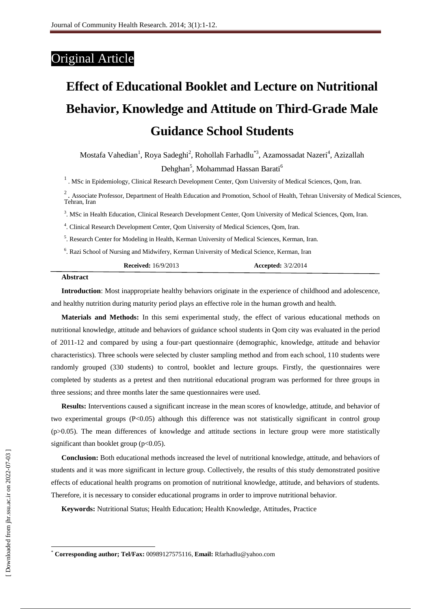# Original Article

# **Effect of Educational Booklet and Lecture on Nutritional Behavior, Knowledge and Attitude on Third-Grade Male Guidance School Students**

Mostafa Vahedian<sup>1</sup>, Roya Sadeghi<sup>2</sup>, Rohollah Farhadlu<sup>\*3</sup>, Azamossadat Nazeri<sup>4</sup>, Azizallah Dehghan<sup>5</sup>, Mohammad Hassan Barati<sup>6</sup>

<sup>1</sup>. MSc in Epidemiology, Clinical Research Development Center, Qom University of Medical Sciences, Qom, Iran.

 $2$ . Associate Professor, Department of Health Education and Promotion, School of Health, Tehran University of Medical Sciences, Tehran, Iran

3 . MSc in Health Education, Clinical Research Development Center, Qom University of Medical Sciences, Qom, Iran.

4 . Clinical Research Development Center, Qom University of Medical Sciences, Qom, Iran.

<sup>5</sup>. Research Center for Modeling in Health, Kerman University of Medical Sciences, Kerman, Iran.

<sup>6</sup>. Razi School of Nursing and Midwifery, Kerman University of Medical Science, Kerman, Iran

| <b>Accepted:</b> 3/2/2014 |
|---------------------------|
|                           |

#### **Abstract**

**Introduction**: Most inappropriate healthy behaviors originate in the experience of childhood and adolescence, and healthy nutrition during maturity period plays an effective role in the human growth and health.

**Materials and Methods:** In this semi experimental study, the effect of various educational methods on nutritional knowledge, attitude and behaviors of guidance school students in Qom city was evaluated in the period of 2011-12 and compared by using a four-part questionnaire (demographic, knowledge, attitude and behavior characteristics). Three schools were selected by cluster sampling method and from each school, 110 students were randomly grouped (330 students) to control, booklet and lecture groups. Firstly, the questionnaires were completed by students as a pretest and then nutritional educational program was performed for three groups in three sessions; and three months later the same questionnaires were used.

**Results:** Interventions caused a significant increase in the mean scores of knowledge, attitude, and behavior of two experimental groups (P<0.05) although this difference was not statistically significant in control group (p>0.05). The mean differences of knowledge and attitude sections in lecture group were more statistically significant than booklet group ( $p<0.05$ ).

**Conclusion:** Both educational methods increased the level of nutritional knowledge, attitude, and behaviors of students and it was more significant in lecture group. Collectively, the results of this study demonstrated positive effects of educational health programs on promotion of nutritional knowledge, attitude, and behaviors of students. Therefore, it is necessary to consider educational programs in order to improve nutritional behavior.

**Keywords:** Nutritional Status; Health Education; Health Knowledge, Attitudes, Practice

 $\overline{\phantom{a}}$ 

<sup>\*</sup> **Corresponding author; Tel/Fax:** 00989127575116, **Email:** [Rfarhadlu@yahoo.com](mailto:Rfarhadlu@yahoo.com)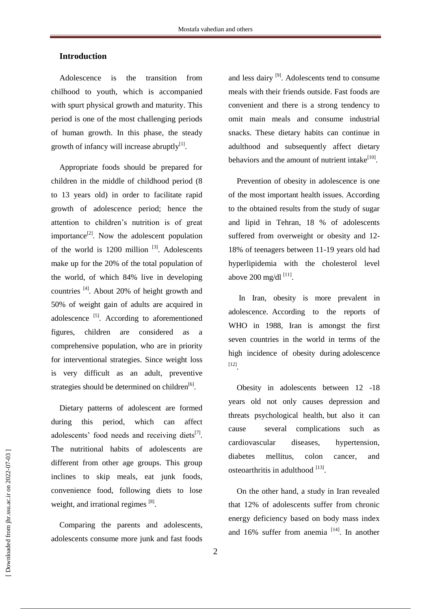# **Introduction**

Adolescence is the transition from chilhood to youth, which is accompanied with spurt physical growth and maturity. This period is one of the most challenging periods of human growth. In this phase, the steady growth of infancy will increase abruptly $[1]$ .

Appropriate foods should be prepared for children in the middle of childhood period (8 to 13 years old) in order to facilitate rapid growth of adolescence period; hence the attention to children's nutrition is of great importance<sup>[2]</sup>. Now the adolescent population of the world is  $1200$  million  $^{[3]}$ . Adolescents make up for the 20% of the total population of the world, of which 84% live in developing countries <sup>[4]</sup>. About 20% of height growth and 50% of weight gain of adults are acquired in adolescence <sup>[5]</sup>. According to aforementioned figures, children are considered as a comprehensive population, who are in priority for interventional strategies. Since weight loss is very difficult as an adult, preventive strategies should be determined on children<sup>[6]</sup>.

Dietary patterns of adolescent are formed during this period, which can affect adolescents' food needs and receiving diets $^{[7]}$ . The nutritional habits of adolescents are different from other age groups. This group inclines to skip meals, eat junk foods, convenience food, following diets to lose weight, and irrational regimes [8].

Comparing the parents and adolescents, adolescents consume more junk and fast foods

and less dairy <sup>[9]</sup>. Adolescents tend to consume meals with their friends outside. Fast foods are convenient and there is a strong tendency to omit main meals and consume industrial snacks. These dietary habits can continue in adulthood and subsequently affect dietary behaviors and the amount of nutrient intake<sup>[10]</sup>.

Prevention of obesity in adolescence is one of the most important health issues. According to the obtained results from the study of sugar and lipid in Tehran, 18 % of adolescents suffered from overweight or obesity and 12- 18% of teenagers between 11-19 years old had hyperlipidemia with the cholesterol level above  $200 \text{ mg/dl}$ <sup>[11]</sup>.

In Iran, obesity is more prevalent in adolescence. According to the reports of WHO in 1988, Iran is amongst the first seven countries in the world in terms of the high incidence of obesity during adolescence [12] .

Obesity in adolescents between 12 -18 years old not only causes depression and threats psychological health, but also it can cause several complications such as cardiovascular diseases, hypertension, diabetes mellitus, colon cancer, and osteoarthritis in adulthood [13].

On the other hand, a study in Iran revealed that 12% of adolescents suffer from chronic energy deficiency based on body mass index and 16% suffer from anemia  $[14]$ . In another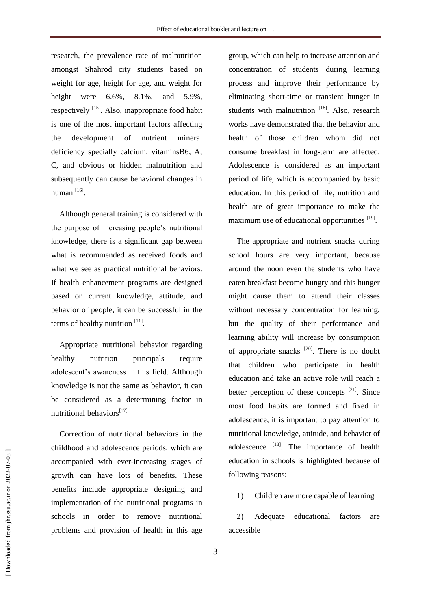research, the prevalence rate of malnutrition amongst Shahrod city students based on weight for age, height for age, and weight for height were 6.6%, 8.1%, and 5.9%, respectively <sup>[15]</sup>. Also, inappropriate food habit is one of the most important factors affecting the development of nutrient mineral deficiency specially calcium, vitaminsB6, A, C, and obvious or hidden malnutrition and subsequently can cause behavioral changes in human <sup>[16]</sup>.

Although general training is considered with the purpose of increasing people's nutritional knowledge, there is a significant gap between what is recommended as received foods and what we see as practical nutritional behaviors. If health enhancement programs are designed based on current knowledge, attitude, and behavior of people, it can be successful in the terms of healthy nutrition [11].

Appropriate nutritional behavior regarding healthy nutrition principals require adolescent's awareness in this field. Although knowledge is not the same as behavior, it can be considered as a determining factor in nutritional behaviors<sup>[17]</sup>

Correction of nutritional behaviors in the childhood and adolescence periods, which are accompanied with ever-increasing stages of growth can have lots of benefits. These benefits include appropriate designing and implementation of the nutritional programs in schools in order to remove nutritional problems and provision of health in this age

group, which can help to increase attention and concentration of students during learning process and improve their performance by eliminating short-time or transient hunger in students with malnutrition [18]. Also, research works have demonstrated that the behavior and health of those children whom did not consume breakfast in long-term are affected. Adolescence is considered as an important period of life, which is accompanied by basic education. In this period of life, nutrition and health are of great importance to make the maximum use of educational opportunities [19].

The appropriate and nutrient snacks during school hours are very important, because around the noon even the students who have eaten breakfast become hungry and this hunger might cause them to attend their classes without necessary concentration for learning, but the quality of their performance and learning ability will increase by consumption of appropriate snacks  $^{[20]}$ . There is no doubt that children who participate in health education and take an active role will reach a better perception of these concepts <sup>[21]</sup>. Since most food habits are formed and fixed in adolescence, it is important to pay attention to nutritional knowledge, attitude, and behavior of adolescence  $^{[18]}$ . The importance of health education in schools is highlighted because of following reasons:

1) Children are more capable of learning

2) Adequate educational factors are accessible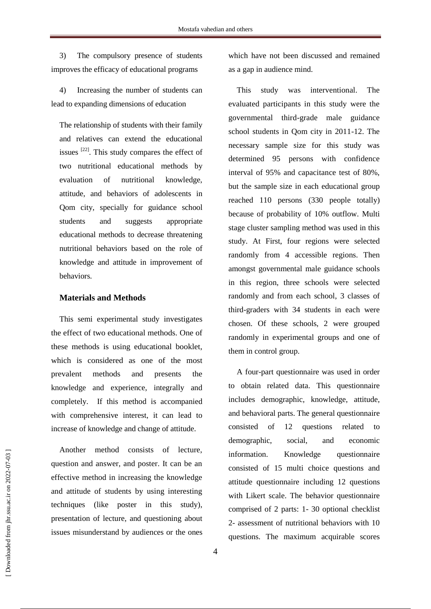3) The compulsory presence of students improves the efficacy of educational programs

4) Increasing the number of students can lead to expanding dimensions of education

The relationship of students with their family and relatives can extend the educational issues  $^{[22]}$ . This study compares the effect of two nutritional educational methods by evaluation of nutritional knowledge, attitude, and behaviors of adolescents in Qom city, specially for guidance school students and suggests appropriate educational methods to decrease threatening nutritional behaviors based on the role of knowledge and attitude in improvement of behaviors.

# **Materials and Methods**

This semi experimental study investigates the effect of two educational methods. One of these methods is using educational booklet, which is considered as one of the most prevalent methods and presents the knowledge and experience, integrally and completely. If this method is accompanied with comprehensive interest, it can lead to increase of knowledge and change of attitude.

Another method consists of lecture, question and answer, and poster. It can be an effective method in increasing the knowledge and attitude of students by using interesting techniques (like poster in this study), presentation of lecture, and questioning about issues misunderstand by audiences or the ones which have not been discussed and remained as a gap in audience mind.

This study was interventional. The evaluated participants in this study were the governmental third-grade male guidance school students in Qom city in 2011-12. The necessary sample size for this study was determined 95 persons with confidence interval of 95% and capacitance test of 80%, but the sample size in each educational group reached 110 persons (330 people totally) because of probability of 10% outflow. Multi stage cluster sampling method was used in this study. At First, four regions were selected randomly from 4 accessible regions. Then amongst governmental male guidance schools in this region, three schools were selected randomly and from each school, 3 classes of third-graders with 34 students in each were chosen. Of these schools, 2 were grouped randomly in experimental groups and one of them in control group.

A four-part questionnaire was used in order to obtain related data. This questionnaire includes demographic, knowledge, attitude, and behavioral parts. The general questionnaire consisted of 12 questions related to demographic, social, and economic information. Knowledge questionnaire consisted of 15 multi choice questions and attitude questionnaire including 12 questions with Likert scale. The behavior questionnaire comprised of 2 parts: 1- 30 optional checklist 2- assessment of nutritional behaviors with 10 questions. The maximum acquirable scores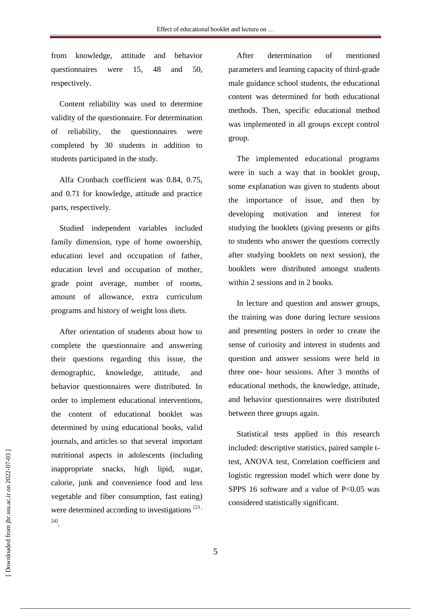from knowledge, attitude and behavior questionnaires were 15, 48 and 50, respectively.

Content reliability was used to determine validity of the questionnaire. For determination of reliability, the questionnaires were completed by 30 students in addition to students participated in the study.

Alfa Cronbach coefficient was 0.84, 0.75, and 0.71 for knowledge, attitude and practice parts, respectively.

Studied independent variables included family dimension, type of home ownership, education level and occupation of father, education level and occupation of mother, grade point average, number of rooms, amount of allowance, extra curriculum programs and history of weight loss diets.

After orientation of students about how to complete the questionnaire and answering their questions regarding this issue, the demographic, knowledge, attitude, and behavior questionnaires were distributed. In order to implement educational interventions, the content of educational booklet was determined by using educational books, valid journals, and articles so that several important nutritional aspects in adolescents (including inappropriate snacks, high lipid, sugar, calorie, junk and convenience food and less vegetable and fiber consumption, fast eating) were determined according to investigations  $^{[23]}$ 24] .

After determination of mentioned parameters and learning capacity of third-grade male guidance school students, the educational content was determined for both educational methods. Then, specific educational method was implemented in all groups except control group.

The implemented educational programs were in such a way that in booklet group, some explanation was given to students about the importance of issue, and then by developing motivation and interest for studying the booklets (giving presents or gifts to students who answer the questions correctly after studying booklets on next session), the booklets were distributed amongst students within 2 sessions and in 2 books.

In lecture and question and answer groups, the training was done during lecture sessions and presenting posters in order to create the sense of curiosity and interest in students and question and answer sessions were held in three one- hour sessions. After 3 months of educational methods, the knowledge, attitude, and behavior questionnaires were distributed between three groups again.

Statistical tests applied in this research included: descriptive statistics, paired sample ttest, ANOVA test, Correlation coefficient and logistic regression model which were done by SPPS 16 software and a value of  $P<0.05$  was considered statistically significant.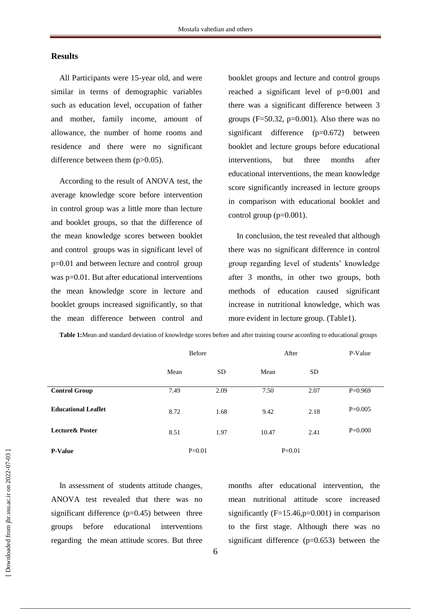### **Results**

All Participants were 15-year old, and were similar in terms of demographic variables such as education level, occupation of father and mother, family income, amount of allowance, the number of home rooms and residence and there were no significant difference between them  $(p>0.05)$ .

According to the result of ANOVA test, the average knowledge score before intervention in control group was a little more than lecture and booklet groups, so that the difference of the mean knowledge scores between booklet and control groups was in significant level of p=0.01 and between lecture and control group was p=0.01. But after educational interventions the mean knowledge score in lecture and booklet groups increased significantly, so that the mean difference between control and

booklet groups and lecture and control groups reached a significant level of p=0.001 and there was a significant difference between 3 groups ( $F=50.32$ ,  $p=0.001$ ). Also there was no significant difference (p=0.672) between booklet and lecture groups before educational interventions, but three months after educational interventions, the mean knowledge score significantly increased in lecture groups in comparison with educational booklet and control group  $(p=0.001)$ .

In conclusion, the test revealed that although there was no significant difference in control group regarding level of students' knowledge after 3 months, in other two groups, both methods of education caused significant increase in nutritional knowledge, which was more evident in lecture group. (Table1).

|                             | Before     |           | After      |      | P-Value   |
|-----------------------------|------------|-----------|------------|------|-----------|
|                             | Mean       | <b>SD</b> | Mean       | SD   |           |
| <b>Control Group</b>        | 7.49       | 2.09      | 7.50       | 2.07 | $P=0.969$ |
| <b>Educational Leaflet</b>  | 8.72       | 1.68      | 9.42       | 2.18 | $P=0.005$ |
| <b>Lecture &amp; Poster</b> | 8.51       | 1.97      | 10.47      | 2.41 | $P=0.000$ |
| <b>P-Value</b>              | $P = 0.01$ |           | $P = 0.01$ |      |           |

**Table 1:**Mean and standard deviation of knowledge scores before and after training course according to educational groups

In assessment of students attitude changes, ANOVA test revealed that there was no significant difference  $(p=0.45)$  between three groups before educational interventions regarding the mean attitude scores. But three months after educational intervention, the mean nutritional attitude score increased significantly  $(F=15.46, p=0.001)$  in comparison to the first stage. Although there was no significant difference  $(p=0.653)$  between the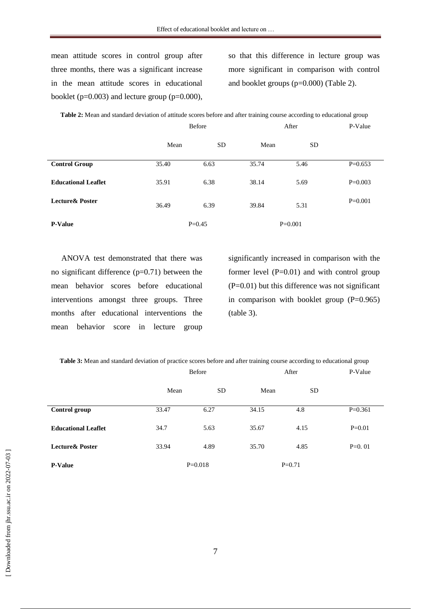mean attitude scores in control group after three months, there was a significant increase in the mean attitude scores in educational booklet ( $p=0.003$ ) and lecture group ( $p=0.000$ ),

so that this difference in lecture group was more significant in comparison with control and booklet groups (p=0.000) (Table 2).

|                             | Before     |           | After     |           | P-Value   |
|-----------------------------|------------|-----------|-----------|-----------|-----------|
|                             | Mean       | <b>SD</b> | Mean      | <b>SD</b> |           |
| <b>Control Group</b>        | 35.40      | 6.63      | 35.74     | 5.46      | $P=0.653$ |
| <b>Educational Leaflet</b>  | 35.91      | 6.38      | 38.14     | 5.69      | $P=0.003$ |
| <b>Lecture &amp; Poster</b> | 36.49      | 6.39      | 39.84     | 5.31      | $P=0.001$ |
| <b>P-Value</b>              | $P = 0.45$ |           | $P=0.001$ |           |           |

**Table 2:** Mean and standard deviation of attitude scores before and after training course according to educational group

ANOVA test demonstrated that there was no significant difference (p=0.71) between the mean behavior scores before educational interventions amongst three groups. Three months after educational interventions the mean behavior score in lecture group

significantly increased in comparison with the former level  $(P=0.01)$  and with control group  $(P=0.01)$  but this difference was not significant in comparison with booklet group  $(P=0.965)$ (table 3).

|                             | Before    |           | After    |           | P-Value   |
|-----------------------------|-----------|-----------|----------|-----------|-----------|
|                             | Mean      | <b>SD</b> | Mean     | <b>SD</b> |           |
| Control group               | 33.47     | 6.27      | 34.15    | 4.8       | $P=0.361$ |
| <b>Educational Leaflet</b>  | 34.7      | 5.63      | 35.67    | 4.15      | $P=0.01$  |
| <b>Lecture &amp; Poster</b> | 33.94     | 4.89      | 35.70    | 4.85      | $P=0.01$  |
| <b>P-Value</b>              | $P=0.018$ |           | $P=0.71$ |           |           |

**Table 3:** Mean and standard deviation of practice scores before and after training course according to educational group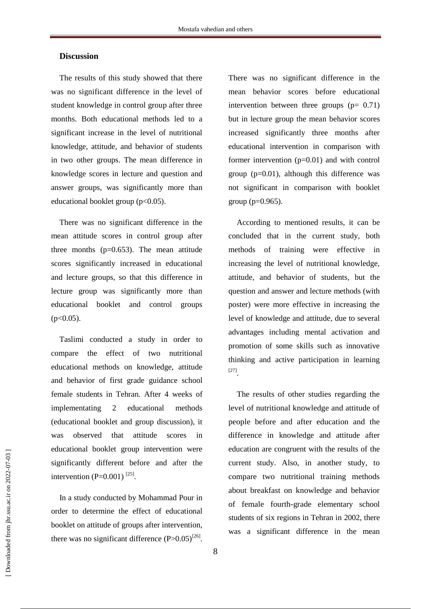# **Discussion**

The results of this study showed that there was no significant difference in the level of student knowledge in control group after three months. Both educational methods led to a significant increase in the level of nutritional knowledge, attitude, and behavior of students in two other groups. The mean difference in knowledge scores in lecture and question and answer groups, was significantly more than educational booklet group  $(p<0.05)$ .

There was no significant difference in the mean attitude scores in control group after three months  $(p=0.653)$ . The mean attitude scores significantly increased in educational and lecture groups, so that this difference in lecture group was significantly more than educational booklet and control groups  $(p<0.05)$ .

Taslimi conducted a study in order to compare the effect of two nutritional educational methods on knowledge, attitude and behavior of first grade guidance school female students in Tehran. After 4 weeks of implementating 2 educational methods (educational booklet and group discussion), it was observed that attitude scores in educational booklet group intervention were significantly different before and after the intervention  $(P=0.001)^{[25]}$ .

In a study conducted by Mohammad Pour in order to determine the effect of educational booklet on attitude of groups after intervention, there was no significant difference  $(P>0.05)^{[26]}$ . There was no significant difference in the mean behavior scores before educational intervention between three groups  $(p= 0.71)$ but in lecture group the mean behavior scores increased significantly three months after educational intervention in comparison with former intervention  $(p=0.01)$  and with control group (p=0.01), although this difference was not significant in comparison with booklet group (p=0.965).

According to mentioned results, it can be concluded that in the current study, both methods of training were effective in increasing the level of nutritional knowledge, attitude, and behavior of students, but the question and answer and lecture methods (with poster) were more effective in increasing the level of knowledge and attitude, due to several advantages including mental activation and promotion of some skills such as innovative thinking and active participation in learning [27] .

The results of other studies regarding the level of nutritional knowledge and attitude of people before and after education and the difference in knowledge and attitude after education are congruent with the results of the current study. Also, in another study, to compare two nutritional training methods about breakfast on knowledge and behavior of female fourth-grade elementary school students of six regions in Tehran in 2002, there was a significant difference in the mean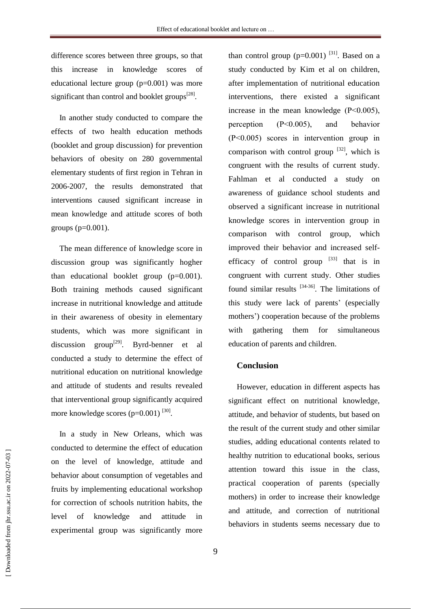difference scores between three groups, so that this increase in knowledge scores of educational lecture group (p=0.001) was more significant than control and booklet groups<sup>[28]</sup>.

In another study conducted to compare the effects of two health education methods (booklet and group discussion) for prevention behaviors of obesity on 280 governmental elementary students of first region in Tehran in 2006-2007, the results demonstrated that interventions caused significant increase in mean knowledge and attitude scores of both groups  $(p=0.001)$ .

The mean difference of knowledge score in discussion group was significantly hogher than educational booklet group  $(p=0.001)$ . Both training methods caused significant increase in nutritional knowledge and attitude in their awareness of obesity in elementary students, which was more significant in discussion group<sup>[29]</sup>. Byrd-benner et al conducted a study to determine the effect of nutritional education on nutritional knowledge and attitude of students and results revealed that interventional group significantly acquired more knowledge scores  $(p=0.001)^{[30]}$ .

In a study in New Orleans, which was conducted to determine the effect of education on the level of knowledge, attitude and behavior about consumption of vegetables and fruits by implementing educational workshop for correction of schools nutrition habits, the level of knowledge and attitude in experimental group was significantly more

than control group  $(p=0.001)$  <sup>[31]</sup>. Based on a study conducted by Kim et al on children, after implementation of nutritional education interventions, there existed a significant increase in the mean knowledge (P˂0.005), perception (P˂0.005), and behavior (P˂0.005) scores in intervention group in comparison with control group  $[32]$ , which is congruent with the results of current study. Fahlman et al conducted a study on awareness of guidance school students and observed a significant increase in nutritional knowledge scores in intervention group in comparison with control group, which improved their behavior and increased selfefficacy of control group  $[33]$  that is in congruent with current study. Other studies found similar results  $[34-36]$ . The limitations of this study were lack of parents' (especially mothers') cooperation because of the problems with gathering them for simultaneous education of parents and children.

#### **Conclusion**

However, education in different aspects has significant effect on nutritional knowledge, attitude, and behavior of students, but based on the result of the current study and other similar studies, adding educational contents related to healthy nutrition to educational books, serious attention toward this issue in the class, practical cooperation of parents (specially mothers) in order to increase their knowledge and attitude, and correction of nutritional behaviors in students seems necessary due to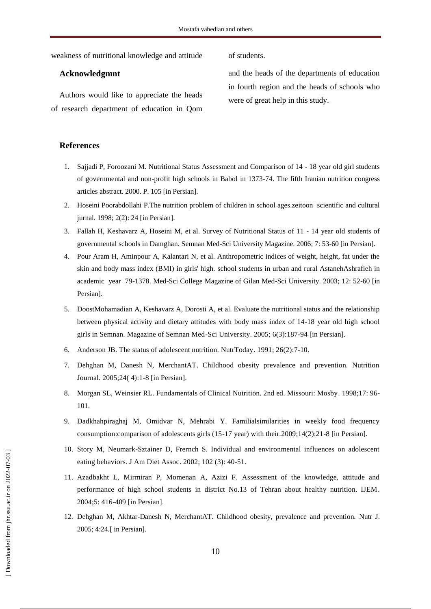weakness of nutritional knowledge and attitude of students.

#### **Acknowledgmnt**

Authors would like to appreciate the heads of research department of education in Qom

and the heads of the departments of education in fourth region and the heads of schools who were of great help in this study.

#### **References**

- 1. Sajjadi P, Foroozani M. Nutritional Status Assessment and Comparison of 14 18 year old girl students of governmental and non-profit high schools in Babol in 1373-74. The fifth Iranian nutrition congress articles abstract. 2000. P. 105 [in Persian].
- 2. Hoseini Poorabdollahi P.The nutrition problem of children in school ages.zeitoon scientific and cultural jurnal. 1998; 2(2): 24 [in Persian].
- 3. Fallah H, Keshavarz A, Hoseini M, et al. Survey of Nutritional Status of 11 14 year old students of governmental schools in Damghan. Semnan Med-Sci University Magazine. 2006; 7: 53-60 [in Persian].
- 4. Pour Aram H, Aminpour A, Kalantari N, et al. Anthropometric indices of weight, height, fat under the skin and body mass index (BMI) in girls' high. school students in urban and rural AstanehAshrafieh in academic year 79-1378. Med-Sci College Magazine of Gilan Med-Sci University. 2003; 12: 52-60 [in Persian].
- 5. DoostMohamadian A, Keshavarz A, Dorosti A, et al. Evaluate the nutritional status and the relationship between physical activity and dietary attitudes with body mass index of 14-18 year old high school girls in Semnan. Magazine of Semnan Med-Sci University. 2005; 6(3):187-94 [in Persian].
- 6. Anderson JB. The status of adolescent nutrition. NutrToday. 1991; 26(2):7-10.
- 7. Dehghan M, Danesh N, MerchantAT. Childhood obesity prevalence and prevention. Nutrition Journal. 2005;24( 4):1-8 [in Persian].
- 8. Morgan SL, Weinsier RL. Fundamentals of Clinical Nutrition. 2nd ed. Missouri: Mosby. 1998;17: 96- 101.
- 9. Dadkhahpiraghaj M, Omidvar N, Mehrabi Y. Familialsimilarities in weekly food frequency consumption:comparison of adolescents girls (15-17 year) with their.2009;14(2):21-8 [in Persian].
- 10. Story M, Neumark-Sztainer D, Frernch S. Individual and environmental influences on adolescent eating behaviors. J Am Diet Assoc. 2002; 102 (3): 40-51.
- 11. Azadbakht L, Mirmiran P, Momenan A, Azizi F. Assessment of the knowledge, attitude and performance of high school students in district No.13 of Tehran about healthy nutrition. IJEM. 2004;5: 416-409 [in Persian].
- 12. Dehghan M, Akhtar-Danesh N, MerchantAT. Childhood obesity, prevalence and prevention. Nutr J. 2005; 4:24.[ in Persian].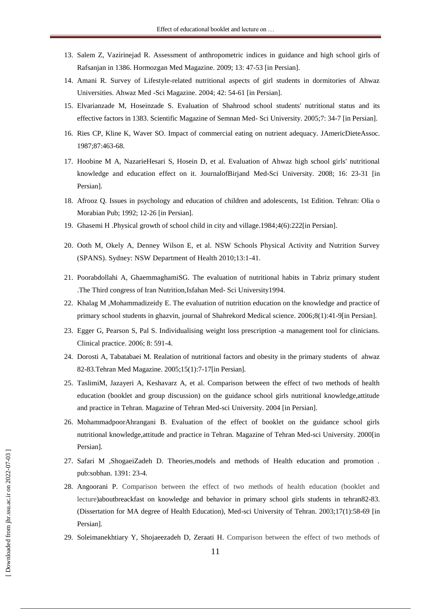- 13. Salem Z, Vazirinejad R. Assessment of anthropometric indices in guidance and high school girls of Rafsanjan in 1386. Hormozgan Med Magazine. 2009; 13: 47-53 [in Persian].
- 14. Amani R. Survey of Lifestyle-related nutritional aspects of girl students in dormitories of Ahwaz Universities. Ahwaz Med -Sci Magazine. 2004; 42: 54-61 [in Persian].
- 15. Elvarianzade M, Hoseinzade S. Evaluation of Shahrood school students' nutritional status and its effective factors in 1383. Scientific Magazine of Semnan Med- Sci University. 2005;7: 34-7 [in Persian].
- 16. Ries CP, Kline K, Waver SO. Impact of commercial eating on nutrient adequacy. JAmericDieteAssoc. 1987;87:463-68.
- 17. Hoobine M A, NazarieHesari S, Hosein D, et al. Evaluation of Ahwaz high school girls' nutritional knowledge and education effect on it. JournalofBirjand Med-Sci University. 2008; 16: 23-31 [in Persian].
- 18. Afrooz Q. Issues in psychology and education of children and adolescents, 1st Edition. Tehran: Olia o Morabian Pub; 1992; 12-26 [in Persian].
- 19. Ghasemi H .Physical growth of school child in city and village.1984;4(6):222[in Persian].
- 20. Ooth M, Okely A, Denney Wilson E, et al. NSW Schools Physical Activity and Nutrition Survey (SPANS). Sydney: NSW Department of Health 2010;13:1-41.
- 21. Poorabdollahi A, GhaemmaghamiSG. The evaluation of nutritional habits in Tabriz primary student .The Third congress of Iran Nutrition,Isfahan Med- Sci University1994.
- 22. Khalag M ,Mohammadizeidy E. The evaluation of nutrition education on the knowledge and practice of primary school students in ghazvin, journal of Shahrekord Medical science. 2006;8(1):41-9[in Persian].
- 23. Egger G, Pearson S, Pal S. Individualising weight loss prescription -a management tool for clinicians. Clinical practice. 2006; 8: 591-4.
- 24. Dorosti A, Tabatabaei M. Realation of nutritional factors and obesity in the primary students of ahwaz 82-83.Tehran Med Magazine. 2005;15(1):7-17[in Persian].
- 25. TaslimiM, Jazayeri A, Keshavarz A, et al. Comparison between the effect of two methods of health education (booklet and group discussion) on the guidance school girls nutritional knowledge,attitude and practice in Tehran. Magazine of Tehran Med-sci University. 2004 [in Persian].
- 26. MohammadpoorAhrangani B. Evaluation of the effect of booklet on the guidance school girls nutritional knowledge,attitude and practice in Tehran. Magazine of Tehran Med-sci University. 2000[in Persian].
- 27. Safari M ,ShogaeiZadeh D. Theories,models and methods of Health education and promotion . pub:sobhan. 1391: 23-4.
- 28. Angoorani P. Comparison between the effect of two methods of health education (booklet and lecture)aboutbreackfast on knowledge and behavior in primary school girls students in tehran82-83. (Dissertation for MA degree of Health Education), Med-sci University of Tehran. 2003;17(1):58-69 [in Persian].
- 29. Soleimanekhtiary Y, Shojaeezadeh D, Zeraati H. Comparison between the effect of two methods of